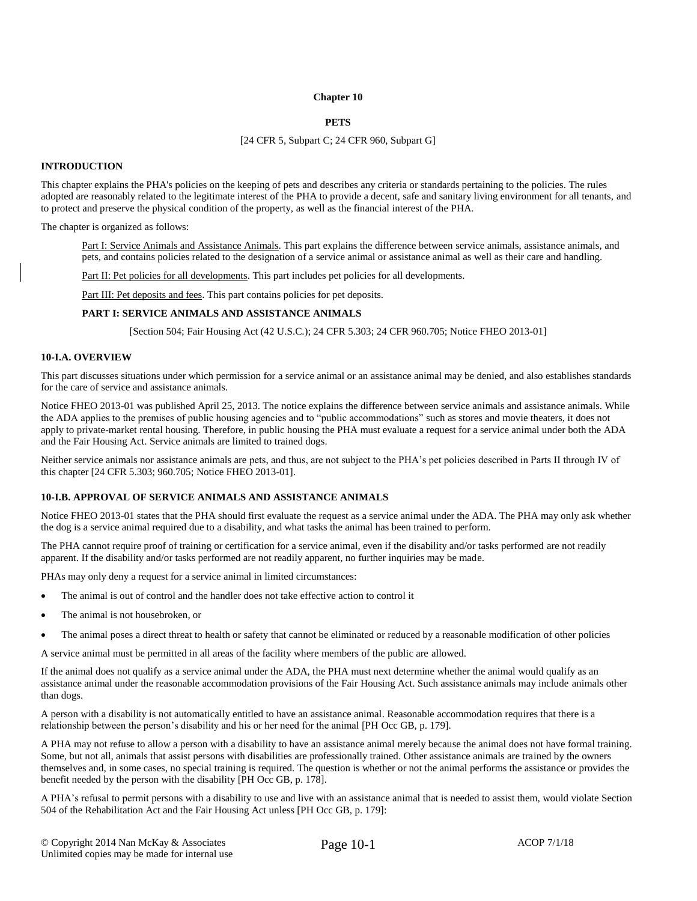### **Chapter 10**

# **PETS**

#### [24 CFR 5, Subpart C; 24 CFR 960, Subpart G]

# **INTRODUCTION**

This chapter explains the PHA's policies on the keeping of pets and describes any criteria or standards pertaining to the policies. The rules adopted are reasonably related to the legitimate interest of the PHA to provide a decent, safe and sanitary living environment for all tenants, and to protect and preserve the physical condition of the property, as well as the financial interest of the PHA.

The chapter is organized as follows:

Part I: Service Animals and Assistance Animals. This part explains the difference between service animals, assistance animals, and pets, and contains policies related to the designation of a service animal or assistance animal as well as their care and handling.

Part II: Pet policies for all developments. This part includes pet policies for all developments.

Part III: Pet deposits and fees. This part contains policies for pet deposits.

# **PART I: SERVICE ANIMALS AND ASSISTANCE ANIMALS**

[Section 504; Fair Housing Act (42 U.S.C.); 24 CFR 5.303; 24 CFR 960.705; Notice FHEO 2013-01]

#### **10-I.A. OVERVIEW**

This part discusses situations under which permission for a service animal or an assistance animal may be denied, and also establishes standards for the care of service and assistance animals.

Notice FHEO 2013-01 was published April 25, 2013. The notice explains the difference between service animals and assistance animals. While the ADA applies to the premises of public housing agencies and to "public accommodations" such as stores and movie theaters, it does not apply to private-market rental housing. Therefore, in public housing the PHA must evaluate a request for a service animal under both the ADA and the Fair Housing Act. Service animals are limited to trained dogs.

Neither service animals nor assistance animals are pets, and thus, are not subject to the PHA's pet policies described in Parts II through IV of this chapter [24 CFR 5.303; 960.705; Notice FHEO 2013-01].

### **10-I.B. APPROVAL OF SERVICE ANIMALS AND ASSISTANCE ANIMALS**

Notice FHEO 2013-01 states that the PHA should first evaluate the request as a service animal under the ADA. The PHA may only ask whether the dog is a service animal required due to a disability, and what tasks the animal has been trained to perform.

The PHA cannot require proof of training or certification for a service animal, even if the disability and/or tasks performed are not readily apparent. If the disability and/or tasks performed are not readily apparent, no further inquiries may be made.

PHAs may only deny a request for a service animal in limited circumstances:

- The animal is out of control and the handler does not take effective action to control it
- The animal is not housebroken, or
- The animal poses a direct threat to health or safety that cannot be eliminated or reduced by a reasonable modification of other policies

A service animal must be permitted in all areas of the facility where members of the public are allowed.

If the animal does not qualify as a service animal under the ADA, the PHA must next determine whether the animal would qualify as an assistance animal under the reasonable accommodation provisions of the Fair Housing Act. Such assistance animals may include animals other than dogs.

A person with a disability is not automatically entitled to have an assistance animal. Reasonable accommodation requires that there is a relationship between the person's disability and his or her need for the animal [PH Occ GB, p. 179].

A PHA may not refuse to allow a person with a disability to have an assistance animal merely because the animal does not have formal training. Some, but not all, animals that assist persons with disabilities are professionally trained. Other assistance animals are trained by the owners themselves and, in some cases, no special training is required. The question is whether or not the animal performs the assistance or provides the benefit needed by the person with the disability [PH Occ GB, p. 178].

A PHA's refusal to permit persons with a disability to use and live with an assistance animal that is needed to assist them, would violate Section 504 of the Rehabilitation Act and the Fair Housing Act unless [PH Occ GB, p. 179]: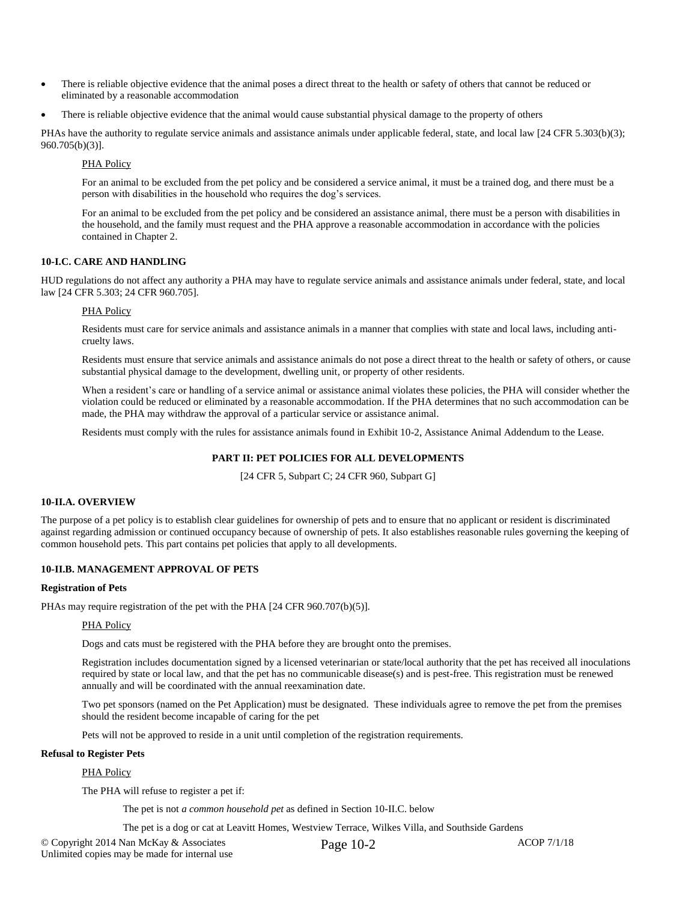- There is reliable objective evidence that the animal poses a direct threat to the health or safety of others that cannot be reduced or eliminated by a reasonable accommodation
- There is reliable objective evidence that the animal would cause substantial physical damage to the property of others

PHAs have the authority to regulate service animals and assistance animals under applicable federal, state, and local law [24 CFR 5.303(b)(3); 960.705(b)(3)].

# PHA Policy

For an animal to be excluded from the pet policy and be considered a service animal, it must be a trained dog, and there must be a person with disabilities in the household who requires the dog's services.

For an animal to be excluded from the pet policy and be considered an assistance animal, there must be a person with disabilities in the household, and the family must request and the PHA approve a reasonable accommodation in accordance with the policies contained in Chapter 2.

# **10-I.C. CARE AND HANDLING**

HUD regulations do not affect any authority a PHA may have to regulate service animals and assistance animals under federal, state, and local law [24 CFR 5.303; 24 CFR 960.705].

# PHA Policy

Residents must care for service animals and assistance animals in a manner that complies with state and local laws, including anticruelty laws.

Residents must ensure that service animals and assistance animals do not pose a direct threat to the health or safety of others, or cause substantial physical damage to the development, dwelling unit, or property of other residents.

When a resident's care or handling of a service animal or assistance animal violates these policies, the PHA will consider whether the violation could be reduced or eliminated by a reasonable accommodation. If the PHA determines that no such accommodation can be made, the PHA may withdraw the approval of a particular service or assistance animal.

Residents must comply with the rules for assistance animals found in Exhibit 10-2, Assistance Animal Addendum to the Lease.

# **PART II: PET POLICIES FOR ALL DEVELOPMENTS**

[24 CFR 5, Subpart C; 24 CFR 960, Subpart G]

### **10-II.A. OVERVIEW**

The purpose of a pet policy is to establish clear guidelines for ownership of pets and to ensure that no applicant or resident is discriminated against regarding admission or continued occupancy because of ownership of pets. It also establishes reasonable rules governing the keeping of common household pets. This part contains pet policies that apply to all developments.

# **10-II.B. MANAGEMENT APPROVAL OF PETS**

### **Registration of Pets**

PHAs may require registration of the pet with the PHA [24 CFR 960.707(b)(5)].

# PHA Policy

Dogs and cats must be registered with the PHA before they are brought onto the premises.

Registration includes documentation signed by a licensed veterinarian or state/local authority that the pet has received all inoculations required by state or local law, and that the pet has no communicable disease(s) and is pest-free. This registration must be renewed annually and will be coordinated with the annual reexamination date.

Two pet sponsors (named on the Pet Application) must be designated. These individuals agree to remove the pet from the premises should the resident become incapable of caring for the pet

Pets will not be approved to reside in a unit until completion of the registration requirements.

### **Refusal to Register Pets**

# PHA Policy

The PHA will refuse to register a pet if:

The pet is not *a common household pet* as defined in Section 10-II.C. below

The pet is a dog or cat at Leavitt Homes, Westview Terrace, Wilkes Villa, and Southside Gardens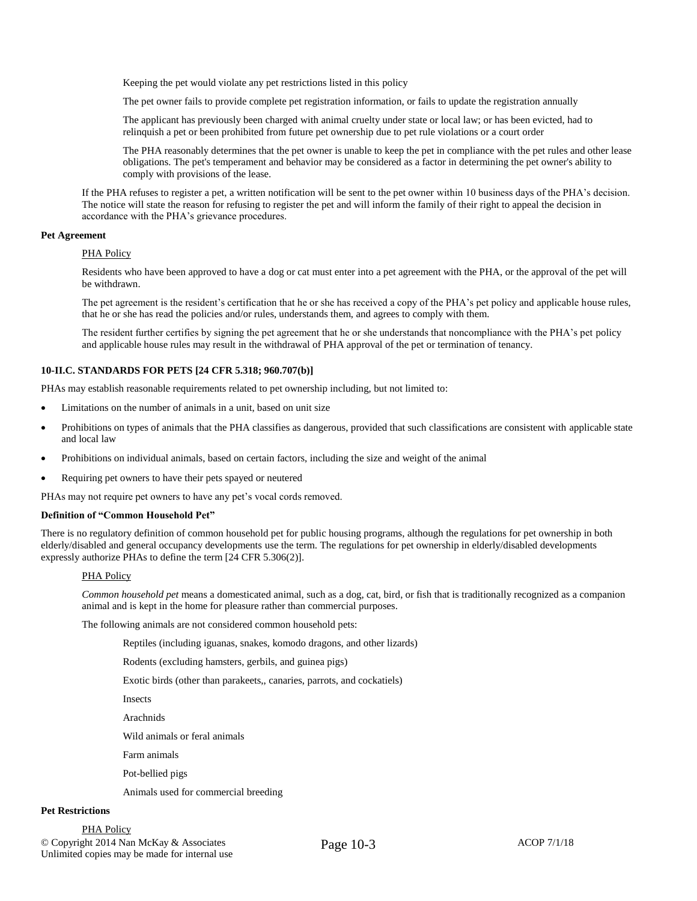Keeping the pet would violate any pet restrictions listed in this policy

The pet owner fails to provide complete pet registration information, or fails to update the registration annually

The applicant has previously been charged with animal cruelty under state or local law; or has been evicted, had to relinquish a pet or been prohibited from future pet ownership due to pet rule violations or a court order

The PHA reasonably determines that the pet owner is unable to keep the pet in compliance with the pet rules and other lease obligations. The pet's temperament and behavior may be considered as a factor in determining the pet owner's ability to comply with provisions of the lease.

If the PHA refuses to register a pet, a written notification will be sent to the pet owner within 10 business days of the PHA's decision. The notice will state the reason for refusing to register the pet and will inform the family of their right to appeal the decision in accordance with the PHA's grievance procedures.

# **Pet Agreement**

## PHA Policy

Residents who have been approved to have a dog or cat must enter into a pet agreement with the PHA, or the approval of the pet will be withdrawn.

The pet agreement is the resident's certification that he or she has received a copy of the PHA's pet policy and applicable house rules, that he or she has read the policies and/or rules, understands them, and agrees to comply with them.

The resident further certifies by signing the pet agreement that he or she understands that noncompliance with the PHA's pet policy and applicable house rules may result in the withdrawal of PHA approval of the pet or termination of tenancy.

# **10-II.C. STANDARDS FOR PETS [24 CFR 5.318; 960.707(b)]**

PHAs may establish reasonable requirements related to pet ownership including, but not limited to:

- Limitations on the number of animals in a unit, based on unit size
- Prohibitions on types of animals that the PHA classifies as dangerous, provided that such classifications are consistent with applicable state and local law
- Prohibitions on individual animals, based on certain factors, including the size and weight of the animal
- Requiring pet owners to have their pets spayed or neutered

PHAs may not require pet owners to have any pet's vocal cords removed.

### **Definition of "Common Household Pet"**

There is no regulatory definition of common household pet for public housing programs, although the regulations for pet ownership in both elderly/disabled and general occupancy developments use the term. The regulations for pet ownership in elderly/disabled developments expressly authorize PHAs to define the term [24 CFR 5.306(2)].

### PHA Policy

*Common household pet* means a domesticated animal, such as a dog, cat, bird, or fish that is traditionally recognized as a companion animal and is kept in the home for pleasure rather than commercial purposes.

The following animals are not considered common household pets:

Reptiles (including iguanas, snakes, komodo dragons, and other lizards)

Rodents (excluding hamsters, gerbils, and guinea pigs)

Exotic birds (other than parakeets,, canaries, parrots, and cockatiels)

Insects

Arachnids

Wild animals or feral animals

Farm animals

Pot-bellied pigs

Animals used for commercial breeding

# **Pet Restrictions**

© Copyright 2014 Nan McKay & Associates <br>  $P_{A}$   $Q_{C}$  10-3 ACOP 7/1/18 Unlimited copies may be made for internal use PHA Policy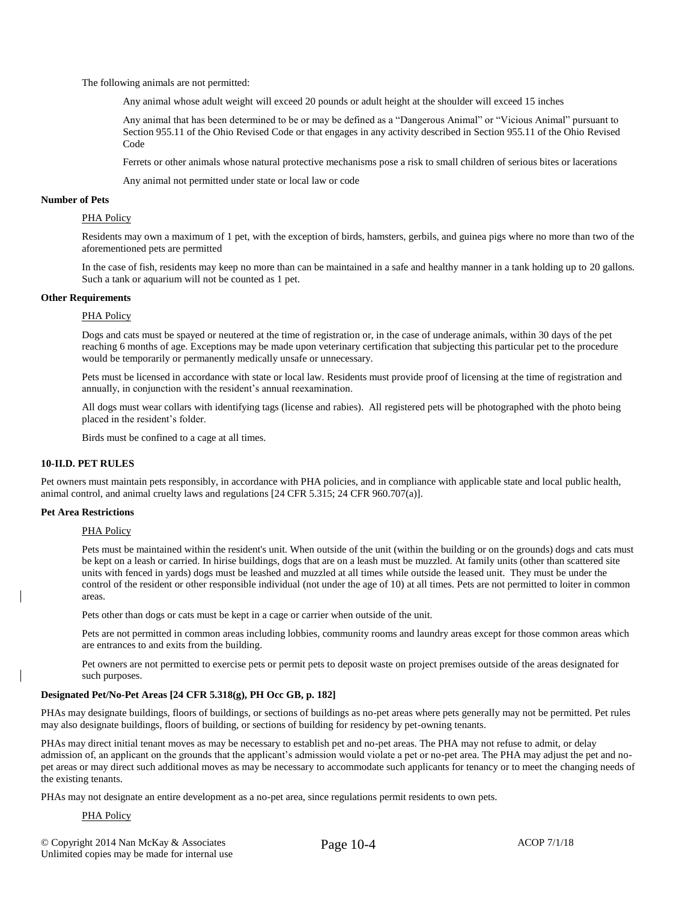The following animals are not permitted:

Any animal whose adult weight will exceed 20 pounds or adult height at the shoulder will exceed 15 inches

Any animal that has been determined to be or may be defined as a "Dangerous Animal" or "Vicious Animal" pursuant to Section 955.11 of the Ohio Revised Code or that engages in any activity described in Section 955.11 of the Ohio Revised Code

Ferrets or other animals whose natural protective mechanisms pose a risk to small children of serious bites or lacerations

Any animal not permitted under state or local law or code

# **Number of Pets**

### PHA Policy

Residents may own a maximum of 1 pet, with the exception of birds, hamsters, gerbils, and guinea pigs where no more than two of the aforementioned pets are permitted

In the case of fish, residents may keep no more than can be maintained in a safe and healthy manner in a tank holding up to 20 gallons. Such a tank or aquarium will not be counted as 1 pet.

#### **Other Requirements**

#### PHA Policy

Dogs and cats must be spayed or neutered at the time of registration or, in the case of underage animals, within 30 days of the pet reaching 6 months of age. Exceptions may be made upon veterinary certification that subjecting this particular pet to the procedure would be temporarily or permanently medically unsafe or unnecessary.

Pets must be licensed in accordance with state or local law. Residents must provide proof of licensing at the time of registration and annually, in conjunction with the resident's annual reexamination.

All dogs must wear collars with identifying tags (license and rabies). All registered pets will be photographed with the photo being placed in the resident's folder.

Birds must be confined to a cage at all times.

# **10-II.D. PET RULES**

Pet owners must maintain pets responsibly, in accordance with PHA policies, and in compliance with applicable state and local public health, animal control, and animal cruelty laws and regulations [24 CFR 5.315; 24 CFR 960.707(a)].

### **Pet Area Restrictions**

#### PHA Policy

Pets must be maintained within the resident's unit. When outside of the unit (within the building or on the grounds) dogs and cats must be kept on a leash or carried. In hirise buildings, dogs that are on a leash must be muzzled. At family units (other than scattered site units with fenced in yards) dogs must be leashed and muzzled at all times while outside the leased unit. They must be under the control of the resident or other responsible individual (not under the age of 10) at all times. Pets are not permitted to loiter in common areas.

Pets other than dogs or cats must be kept in a cage or carrier when outside of the unit.

Pets are not permitted in common areas including lobbies, community rooms and laundry areas except for those common areas which are entrances to and exits from the building.

Pet owners are not permitted to exercise pets or permit pets to deposit waste on project premises outside of the areas designated for such purposes.

# **Designated Pet/No-Pet Areas [24 CFR 5.318(g), PH Occ GB, p. 182]**

PHAs may designate buildings, floors of buildings, or sections of buildings as no-pet areas where pets generally may not be permitted. Pet rules may also designate buildings, floors of building, or sections of building for residency by pet-owning tenants.

PHAs may direct initial tenant moves as may be necessary to establish pet and no-pet areas. The PHA may not refuse to admit, or delay admission of, an applicant on the grounds that the applicant's admission would violate a pet or no-pet area. The PHA may adjust the pet and nopet areas or may direct such additional moves as may be necessary to accommodate such applicants for tenancy or to meet the changing needs of the existing tenants.

PHAs may not designate an entire development as a no-pet area, since regulations permit residents to own pets.

PHA Policy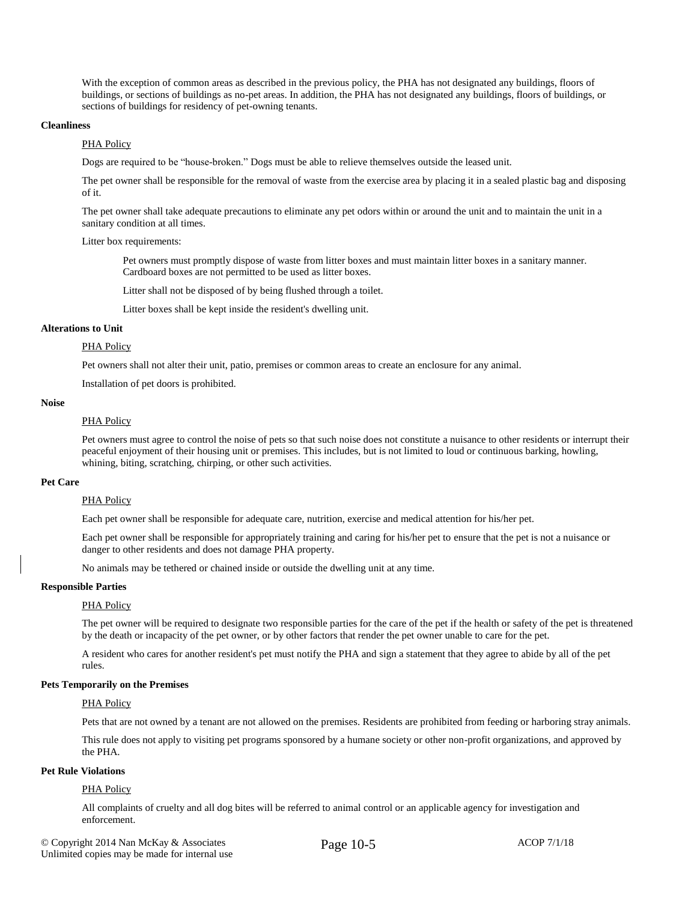With the exception of common areas as described in the previous policy, the PHA has not designated any buildings, floors of buildings, or sections of buildings as no-pet areas. In addition, the PHA has not designated any buildings, floors of buildings, or sections of buildings for residency of pet-owning tenants.

#### **Cleanliness**

# PHA Policy

Dogs are required to be "house-broken." Dogs must be able to relieve themselves outside the leased unit.

The pet owner shall be responsible for the removal of waste from the exercise area by placing it in a sealed plastic bag and disposing of it.

The pet owner shall take adequate precautions to eliminate any pet odors within or around the unit and to maintain the unit in a sanitary condition at all times.

#### Litter box requirements:

Pet owners must promptly dispose of waste from litter boxes and must maintain litter boxes in a sanitary manner. Cardboard boxes are not permitted to be used as litter boxes.

Litter shall not be disposed of by being flushed through a toilet.

Litter boxes shall be kept inside the resident's dwelling unit.

### **Alterations to Unit**

# PHA Policy

Pet owners shall not alter their unit, patio, premises or common areas to create an enclosure for any animal.

Installation of pet doors is prohibited.

### **Noise**

# PHA Policy

Pet owners must agree to control the noise of pets so that such noise does not constitute a nuisance to other residents or interrupt their peaceful enjoyment of their housing unit or premises. This includes, but is not limited to loud or continuous barking, howling, whining, biting, scratching, chirping, or other such activities.

### **Pet Care**

### PHA Policy

Each pet owner shall be responsible for adequate care, nutrition, exercise and medical attention for his/her pet.

Each pet owner shall be responsible for appropriately training and caring for his/her pet to ensure that the pet is not a nuisance or danger to other residents and does not damage PHA property.

No animals may be tethered or chained inside or outside the dwelling unit at any time.

# **Responsible Parties**

#### PHA Policy

The pet owner will be required to designate two responsible parties for the care of the pet if the health or safety of the pet is threatened by the death or incapacity of the pet owner, or by other factors that render the pet owner unable to care for the pet.

A resident who cares for another resident's pet must notify the PHA and sign a statement that they agree to abide by all of the pet rules.

#### **Pets Temporarily on the Premises**

## PHA Policy

Pets that are not owned by a tenant are not allowed on the premises. Residents are prohibited from feeding or harboring stray animals.

This rule does not apply to visiting pet programs sponsored by a humane society or other non-profit organizations, and approved by the PHA.

# **Pet Rule Violations**

## PHA Policy

All complaints of cruelty and all dog bites will be referred to animal control or an applicable agency for investigation and enforcement.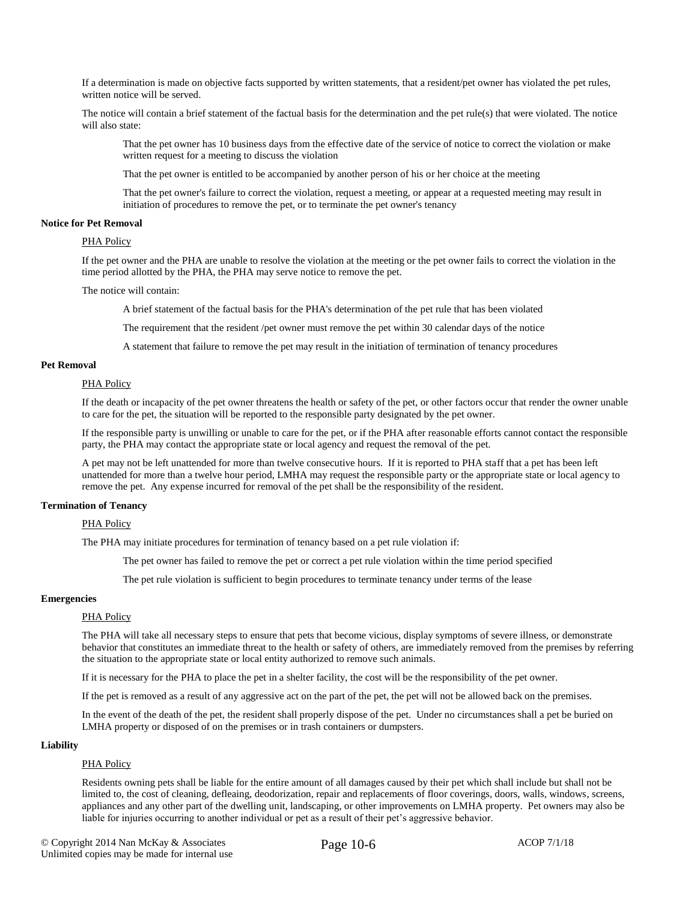If a determination is made on objective facts supported by written statements, that a resident/pet owner has violated the pet rules, written notice will be served.

The notice will contain a brief statement of the factual basis for the determination and the pet rule(s) that were violated. The notice will also state:

That the pet owner has 10 business days from the effective date of the service of notice to correct the violation or make written request for a meeting to discuss the violation

That the pet owner is entitled to be accompanied by another person of his or her choice at the meeting

That the pet owner's failure to correct the violation, request a meeting, or appear at a requested meeting may result in initiation of procedures to remove the pet, or to terminate the pet owner's tenancy

### **Notice for Pet Removal**

# PHA Policy

If the pet owner and the PHA are unable to resolve the violation at the meeting or the pet owner fails to correct the violation in the time period allotted by the PHA, the PHA may serve notice to remove the pet.

The notice will contain:

A brief statement of the factual basis for the PHA's determination of the pet rule that has been violated

The requirement that the resident /pet owner must remove the pet within 30 calendar days of the notice

A statement that failure to remove the pet may result in the initiation of termination of tenancy procedures

### **Pet Removal**

### PHA Policy

If the death or incapacity of the pet owner threatens the health or safety of the pet, or other factors occur that render the owner unable to care for the pet, the situation will be reported to the responsible party designated by the pet owner.

If the responsible party is unwilling or unable to care for the pet, or if the PHA after reasonable efforts cannot contact the responsible party, the PHA may contact the appropriate state or local agency and request the removal of the pet.

A pet may not be left unattended for more than twelve consecutive hours. If it is reported to PHA staff that a pet has been left unattended for more than a twelve hour period, LMHA may request the responsible party or the appropriate state or local agency to remove the pet. Any expense incurred for removal of the pet shall be the responsibility of the resident.

## **Termination of Tenancy**

### PHA Policy

The PHA may initiate procedures for termination of tenancy based on a pet rule violation if:

The pet owner has failed to remove the pet or correct a pet rule violation within the time period specified

The pet rule violation is sufficient to begin procedures to terminate tenancy under terms of the lease

# **Emergencies**

# PHA Policy

The PHA will take all necessary steps to ensure that pets that become vicious, display symptoms of severe illness, or demonstrate behavior that constitutes an immediate threat to the health or safety of others, are immediately removed from the premises by referring the situation to the appropriate state or local entity authorized to remove such animals.

If it is necessary for the PHA to place the pet in a shelter facility, the cost will be the responsibility of the pet owner.

If the pet is removed as a result of any aggressive act on the part of the pet, the pet will not be allowed back on the premises.

In the event of the death of the pet, the resident shall properly dispose of the pet. Under no circumstances shall a pet be buried on LMHA property or disposed of on the premises or in trash containers or dumpsters.

#### **Liability**

# PHA Policy

Residents owning pets shall be liable for the entire amount of all damages caused by their pet which shall include but shall not be limited to, the cost of cleaning, defleaing, deodorization, repair and replacements of floor coverings, doors, walls, windows, screens, appliances and any other part of the dwelling unit, landscaping, or other improvements on LMHA property. Pet owners may also be liable for injuries occurring to another individual or pet as a result of their pet's aggressive behavior.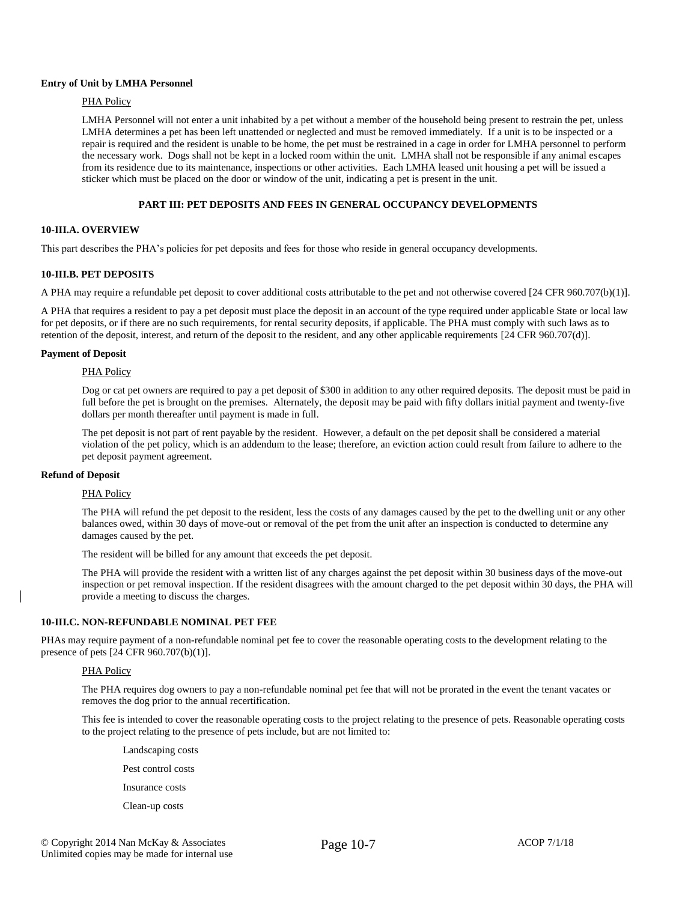### **Entry of Unit by LMHA Personnel**

# PHA Policy

LMHA Personnel will not enter a unit inhabited by a pet without a member of the household being present to restrain the pet, unless LMHA determines a pet has been left unattended or neglected and must be removed immediately. If a unit is to be inspected or a repair is required and the resident is unable to be home, the pet must be restrained in a cage in order for LMHA personnel to perform the necessary work. Dogs shall not be kept in a locked room within the unit. LMHA shall not be responsible if any animal escapes from its residence due to its maintenance, inspections or other activities. Each LMHA leased unit housing a pet will be issued a sticker which must be placed on the door or window of the unit, indicating a pet is present in the unit.

# **PART III: PET DEPOSITS AND FEES IN GENERAL OCCUPANCY DEVELOPMENTS**

# **10-III.A. OVERVIEW**

This part describes the PHA's policies for pet deposits and fees for those who reside in general occupancy developments.

# **10-III.B. PET DEPOSITS**

A PHA may require a refundable pet deposit to cover additional costs attributable to the pet and not otherwise covered [24 CFR 960.707(b)(1)].

A PHA that requires a resident to pay a pet deposit must place the deposit in an account of the type required under applicable State or local law for pet deposits, or if there are no such requirements, for rental security deposits, if applicable. The PHA must comply with such laws as to retention of the deposit, interest, and return of the deposit to the resident, and any other applicable requirements [24 CFR 960.707(d)].

### **Payment of Deposit**

#### PHA Policy

Dog or cat pet owners are required to pay a pet deposit of \$300 in addition to any other required deposits. The deposit must be paid in full before the pet is brought on the premises. Alternately, the deposit may be paid with fifty dollars initial payment and twenty-five dollars per month thereafter until payment is made in full.

The pet deposit is not part of rent payable by the resident. However, a default on the pet deposit shall be considered a material violation of the pet policy, which is an addendum to the lease; therefore, an eviction action could result from failure to adhere to the pet deposit payment agreement.

# **Refund of Deposit**

## PHA Policy

The PHA will refund the pet deposit to the resident, less the costs of any damages caused by the pet to the dwelling unit or any other balances owed, within 30 days of move-out or removal of the pet from the unit after an inspection is conducted to determine any damages caused by the pet.

The resident will be billed for any amount that exceeds the pet deposit.

The PHA will provide the resident with a written list of any charges against the pet deposit within 30 business days of the move-out inspection or pet removal inspection. If the resident disagrees with the amount charged to the pet deposit within 30 days, the PHA will provide a meeting to discuss the charges.

# **10-III.C. NON-REFUNDABLE NOMINAL PET FEE**

PHAs may require payment of a non-refundable nominal pet fee to cover the reasonable operating costs to the development relating to the presence of pets [24 CFR 960.707(b)(1)].

### PHA Policy

The PHA requires dog owners to pay a non-refundable nominal pet fee that will not be prorated in the event the tenant vacates or removes the dog prior to the annual recertification.

This fee is intended to cover the reasonable operating costs to the project relating to the presence of pets. Reasonable operating costs to the project relating to the presence of pets include, but are not limited to:

Landscaping costs Pest control costs Insurance costs Clean-up costs